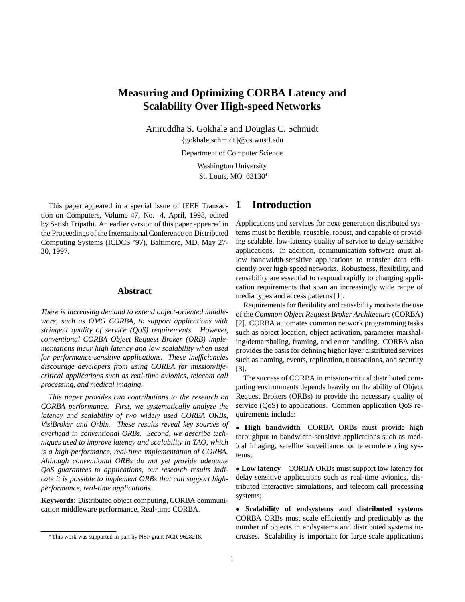# **Measuring and Optimizing CORBA Latency and Scalability Over High-speed Networks**

Aniruddha S. Gokhale and Douglas C. Schmidt

 $\{gokhale, schmidt\}$ @cs.wustl.edu

Department of Computer Science

Washington University St. Louis, MO 63130

This paper appeared in a special issue of IEEE Transaction on Computers, Volume 47, No. 4, April, 1998, edited by Satish Tripathi. An earlier version of this paper appeared in the Proceedings of the International Conference on Distributed Computing Systems (ICDCS '97), Baltimore, MD, May 27- 30, 1997.

#### **Abstract**

*There is increasing demand to extend object-oriented middleware, such as OMG CORBA, to support applications with stringent quality of service (QoS) requirements. However, conventional CORBA Object Request Broker (ORB) implementations incur high latency and low scalability when used for performance-sensitive applications. These inefficiencies discourage developers from using CORBA for mission/lifecritical applications such as real-time avionics, telecom call processing, and medical imaging.*

*This paper provides two contributions to the research on CORBA performance. First, we systematically analyze the latency and scalability of two widely used CORBA ORBs, VisiBroker and Orbix. These results reveal key sources of overhead in conventional ORBs. Second, we describe techniques used to improve latency and scalability in TAO, which is a high-performance, real-time implementation of CORBA. Although conventional ORBs do not yet provide adequate QoS guarantees to applications, our research results indicate it is possible to implement ORBs that can support highperformance, real-time applications.*

**Keywords**: Distributed object computing, CORBA communication middleware performance, Real-time CORBA.

## **1 Introduction**

Applications and services for next-generation distributed systems must be flexible, reusable, robust, and capable of providing scalable, low-latency quality of service to delay-sensitive applications. In addition, communication software must allow bandwidth-sensitive applications to transfer data efficiently over high-speed networks. Robustness, flexibility, and reusability are essential to respond rapidly to changing application requirements that span an increasingly wide range of media types and access patterns [1].

Requirements for flexibility and reusability motivate the use of the *Common Object Request Broker Architecture* (CORBA) [2]. CORBA automates common network programming tasks such as object location, object activation, parameter marshaling/demarshaling, framing, and error handling. CORBA also provides the basis for defining higher layer distributed services such as naming, events, replication, transactions, and security [3].

The success of CORBA in mission-critical distributed computing environments depends heavily on the ability of Object Request Brokers (ORBs) to provide the necessary quality of service (QoS) to applications. Common application QoS requirements include:

 **High bandwidth** CORBA ORBs must provide high throughput to bandwidth-sensitive applications such as medical imaging, satellite surveillance, or teleconferencing systems;

 **Low latency** CORBA ORBs must support low latency for delay-sensitive applications such as real-time avionics, distributed interactive simulations, and telecom call processing systems;

 **Scalability of endsystems and distributed systems** CORBA ORBs must scale efficiently and predictably as the number of objects in endsystems and distributed systems increases. Scalability is important for large-scale applications

This work was supported in part by NSF grant NCR-9628218.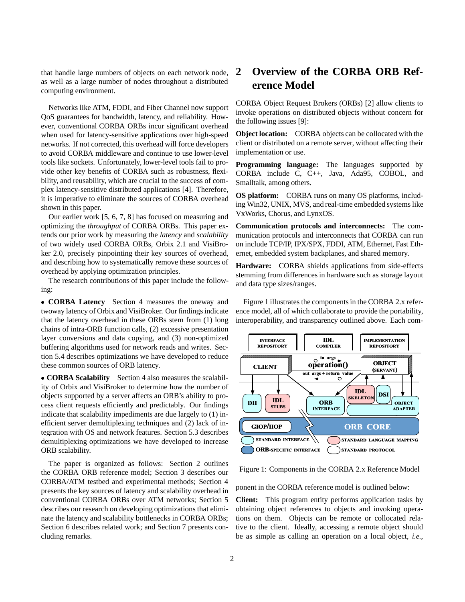that handle large numbers of objects on each network node, as well as a large number of nodes throughout a distributed computing environment.

Networks like ATM, FDDI, and Fiber Channel now support QoS guarantees for bandwidth, latency, and reliability. However, conventional CORBA ORBs incur significant overhead when used for latency-sensitive applications over high-speed networks. If not corrected, this overhead will force developers to avoid CORBA middleware and continue to use lower-level tools like sockets. Unfortunately, lower-level tools fail to provide other key benefits of CORBA such as robustness, flexibility, and reusability, which are crucial to the success of complex latency-sensitive distributed applications [4]. Therefore, it is imperative to eliminate the sources of CORBA overhead shown in this paper.

Our earlier work [5, 6, 7, 8] has focused on measuring and optimizing the *throughput* of CORBA ORBs. This paper extends our prior work by measuring the *latency* and *scalability* of two widely used CORBA ORBs, Orbix 2.1 and VisiBroker 2.0, precisely pinpointing their key sources of overhead, and describing how to systematically remove these sources of overhead by applying optimization principles.

The research contributions of this paper include the following:

 **CORBA Latency** Section 4 measures the oneway and twoway latency of Orbix and VisiBroker. Our findings indicate that the latency overhead in these ORBs stem from (1) long chains of intra-ORB function calls, (2) excessive presentation layer conversions and data copying, and (3) non-optimized buffering algorithms used for network reads and writes. Section 5.4 describes optimizations we have developed to reduce these common sources of ORB latency.

 **CORBA Scalability** Section 4 also measures the scalability of Orbix and VisiBroker to determine how the number of objects supported by a server affects an ORB's ability to process client requests efficiently and predictably. Our findings indicate that scalability impediments are due largely to (1) inefficient server demultiplexing techniques and (2) lack of integration with OS and network features. Section 5.3 describes demultiplexing optimizations we have developed to increase ORB scalability.

The paper is organized as follows: Section 2 outlines the CORBA ORB reference model; Section 3 describes our CORBA/ATM testbed and experimental methods; Section 4 presents the key sources of latency and scalability overhead in conventional CORBA ORBs over ATM networks; Section 5 describes our research on developing optimizations that eliminate the latency and scalability bottlenecks in CORBA ORBs; Section 6 describes related work; and Section 7 presents concluding remarks.

# **2 Overview of the CORBA ORB Reference Model**

CORBA Object Request Brokers (ORBs) [2] allow clients to invoke operations on distributed objects without concern for the following issues [9]:

**Object location:** CORBA objects can be collocated with the client or distributed on a remote server, without affecting their implementation or use.

**Programming language:** The languages supported by CORBA include C, C++, Java, Ada95, COBOL, and Smalltalk, among others.

**OS platform:** CORBA runs on many OS platforms, including Win32, UNIX, MVS, and real-time embedded systems like VxWorks, Chorus, and LynxOS.

**Communication protocols and interconnects:** The communication protocols and interconnects that CORBA can run on include TCP/IP, IPX/SPX, FDDI, ATM, Ethernet, Fast Ethernet, embedded system backplanes, and shared memory.

**Hardware:** CORBA shields applications from side-effects stemming from differences in hardware such as storage layout and data type sizes/ranges.

Figure 1 illustrates the components in the CORBA 2.x reference model, all of which collaborate to provide the portability, interoperability, and transparency outlined above. Each com-



Figure 1: Components in the CORBA 2.x Reference Model

ponent in the CORBA reference model is outlined below:

**Client:** This program entity performs application tasks by obtaining object references to objects and invoking operations on them. Objects can be remote or collocated relative to the client. Ideally, accessing a remote object should be as simple as calling an operation on a local object, *i.e.*,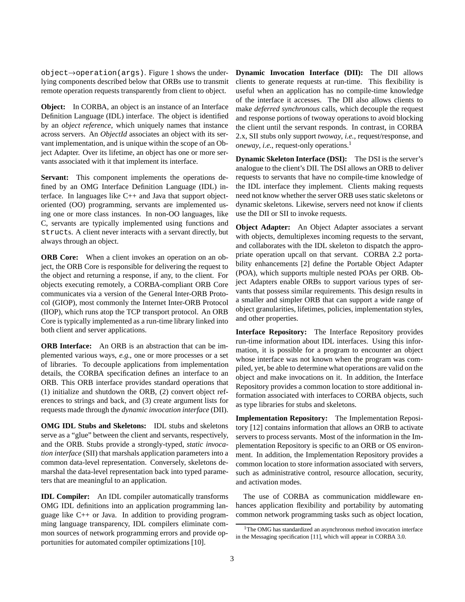$object \rightarrow operation(args)$ . Figure 1 shows the underlying components described below that ORBs use to transmit remote operation requests transparently from client to object.

**Object:** In CORBA, an object is an instance of an Interface Definition Language (IDL) interface. The object is identified by an *object reference*, which uniquely names that instance across servers. An *ObjectId* associates an object with its servant implementation, and is unique within the scope of an Object Adapter. Over its lifetime, an object has one or more servants associated with it that implement its interface.

**Servant:** This component implements the operations defined by an OMG Interface Definition Language (IDL) interface. In languages like C++ and Java that support objectoriented (OO) programming, servants are implemented using one or more class instances. In non-OO languages, like C, servants are typically implemented using functions and structs. A client never interacts with a servant directly, but always through an object.

**ORB Core:** When a client invokes an operation on an object, the ORB Core is responsible for delivering the request to the object and returning a response, if any, to the client. For objects executing remotely, a CORBA-compliant ORB Core communicates via a version of the General Inter-ORB Protocol (GIOP), most commonly the Internet Inter-ORB Protocol (IIOP), which runs atop the TCP transport protocol. An ORB Core is typically implemented as a run-time library linked into both client and server applications.

**ORB Interface:** An ORB is an abstraction that can be implemented various ways, *e.g.*, one or more processes or a set of libraries. To decouple applications from implementation details, the CORBA specification defines an interface to an ORB. This ORB interface provides standard operations that (1) initialize and shutdown the ORB, (2) convert object references to strings and back, and (3) create argument lists for requests made through the *dynamic invocation interface* (DII).

**OMG IDL Stubs and Skeletons:** IDL stubs and skeletons serve as a "glue" between the client and servants, respectively, and the ORB. Stubs provide a strongly-typed, *static invocation interface* (SII) that marshals application parameters into a common data-level representation. Conversely, skeletons demarshal the data-level representation back into typed parameters that are meaningful to an application.

**IDL Compiler:** An IDL compiler automatically transforms OMG IDL definitions into an application programming language like C++ or Java. In addition to providing programming language transparency, IDL compilers eliminate common sources of network programming errors and provide opportunities for automated compiler optimizations [10].

**Dynamic Invocation Interface (DII):** The DII allows clients to generate requests at run-time. This flexibility is useful when an application has no compile-time knowledge of the interface it accesses. The DII also allows clients to make *deferred synchronous* calls, which decouple the request and response portions of twoway operations to avoid blocking the client until the servant responds. In contrast, in CORBA 2.x, SII stubs only support *twoway*, *i.e.*, request/response, and *oneway*, *i.e.*, request-only operations.<sup>1</sup>

**Dynamic Skeleton Interface (DSI):** The DSI is the server's analogue to the client's DII. The DSI allows an ORB to deliver requests to servants that have no compile-time knowledge of the IDL interface they implement. Clients making requests need not know whether the server ORB uses static skeletons or dynamic skeletons. Likewise, servers need not know if clients use the DII or SII to invoke requests.

**Object Adapter:** An Object Adapter associates a servant with objects, demultiplexes incoming requests to the servant, and collaborates with the IDL skeleton to dispatch the appropriate operation upcall on that servant. CORBA 2.2 portability enhancements [2] define the Portable Object Adapter (POA), which supports multiple nested POAs per ORB. Object Adapters enable ORBs to support various types of servants that possess similar requirements. This design results in a smaller and simpler ORB that can support a wide range of object granularities, lifetimes, policies, implementation styles, and other properties.

**Interface Repository:** The Interface Repository provides run-time information about IDL interfaces. Using this information, it is possible for a program to encounter an object whose interface was not known when the program was compiled, yet, be able to determine what operations are valid on the object and make invocations on it. In addition, the Interface Repository provides a common location to store additional information associated with interfaces to CORBA objects, such as type libraries for stubs and skeletons.

**Implementation Repository:** The Implementation Repository [12] contains information that allows an ORB to activate servers to process servants. Most of the information in the Implementation Repository is specific to an ORB or OS environment. In addition, the Implementation Repository provides a common location to store information associated with servers, such as administrative control, resource allocation, security, and activation modes.

The use of CORBA as communication middleware enhances application flexibility and portability by automating common network programming tasks such as object location,

<sup>&</sup>lt;sup>1</sup>The OMG has standardized an asynchronous method invocation interface in the Messaging specification [11], which will appear in CORBA 3.0.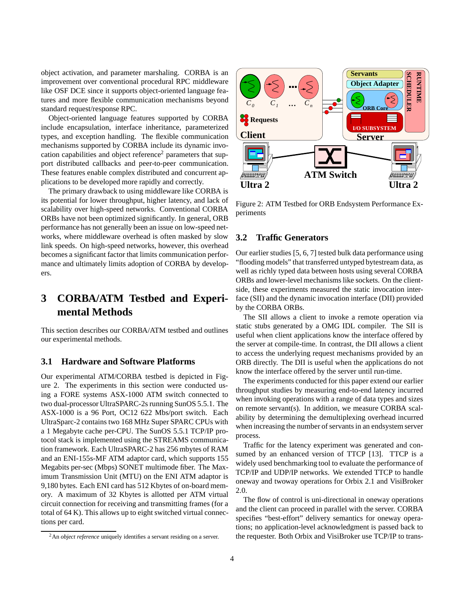object activation, and parameter marshaling. CORBA is an improvement over conventional procedural RPC middleware like OSF DCE since it supports object-oriented language features and more flexible communication mechanisms beyond standard request/response RPC.

Object-oriented language features supported by CORBA include encapsulation, interface inheritance, parameterized types, and exception handling. The flexible communication mechanisms supported by CORBA include its dynamic invocation capabilities and object reference<sup>2</sup> parameters that support distributed callbacks and peer-to-peer communication. These features enable complex distributed and concurrent applications to be developed more rapidly and correctly.

The primary drawback to using middleware like CORBA is its potential for lower throughput, higher latency, and lack of scalability over high-speed networks. Conventional CORBA ORBs have not been optimized significantly. In general, ORB performance has not generally been an issue on low-speed networks, where middleware overhead is often masked by slow link speeds. On high-speed networks, however, this overhead becomes a significant factor that limits communication performance and ultimately limits adoption of CORBA by developers.

# **3 CORBA/ATM Testbed and Experimental Methods**

This section describes our CORBA/ATM testbed and outlines our experimental methods.

### **3.1 Hardware and Software Platforms**

Our experimental ATM/CORBA testbed is depicted in Figure 2. The experiments in this section were conducted using a FORE systems ASX-1000 ATM switch connected to two dual-processor UltraSPARC-2s running SunOS 5.5.1. The ASX-1000 is a 96 Port, OC12 622 Mbs/port switch. Each UltraSparc-2 contains two 168 MHz Super SPARC CPUs with a 1 Megabyte cache per-CPU. The SunOS 5.5.1 TCP/IP protocol stack is implemented using the STREAMS communication framework. Each UltraSPARC-2 has 256 mbytes of RAM and an ENI-155s-MF ATM adaptor card, which supports 155 Megabits per-sec (Mbps) SONET multimode fiber. The Maximum Transmission Unit (MTU) on the ENI ATM adaptor is 9,180 bytes. Each ENI card has 512 Kbytes of on-board memory. A maximum of 32 Kbytes is allotted per ATM virtual circuit connection for receiving and transmitting frames (for a total of 64 K). This allows up to eight switched virtual connections per card.



Figure 2: ATM Testbed for ORB Endsystem Performance Experiments

### **3.2 Traffic Generators**

Our earlier studies [5, 6, 7] tested bulk data performance using "flooding models" that transferred untyped bytestream data, as well as richly typed data between hosts using several CORBA ORBs and lower-level mechanisms like sockets. On the clientside, these experiments measured the static invocation interface (SII) and the dynamic invocation interface (DII) provided by the CORBA ORBs.

The SII allows a client to invoke a remote operation via static stubs generated by a OMG IDL compiler. The SII is useful when client applications know the interface offered by the server at compile-time. In contrast, the DII allows a client to access the underlying request mechanisms provided by an ORB directly. The DII is useful when the applications do not know the interface offered by the server until run-time.

The experiments conducted for this paper extend our earlier throughput studies by measuring end-to-end latency incurred when invoking operations with a range of data types and sizes on remote servant(s). In addition, we measure CORBA scalability by determining the demultiplexing overhead incurred when increasing the number of servants in an endsystem server process.

Traffic for the latency experiment was generated and consumed by an enhanced version of TTCP [13]. TTCP is a widely used benchmarking tool to evaluate the performance of TCP/IP and UDP/IP networks. We extended TTCP to handle oneway and twoway operations for Orbix 2.1 and VisiBroker 2.0.

The flow of control is uni-directional in oneway operations and the client can proceed in parallel with the server. CORBA specifies "best-effort" delivery semantics for oneway operations; no application-level acknowledgment is passed back to the requester. Both Orbix and VisiBroker use TCP/IP to trans-

<sup>2</sup>An *object reference* uniquely identifies a servant residing on a server.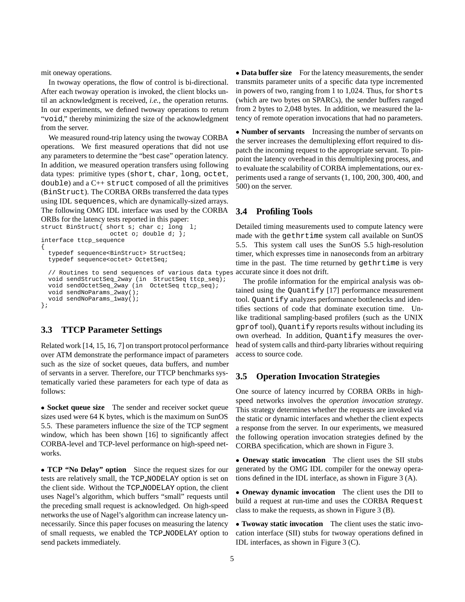mit oneway operations.

In twoway operations, the flow of control is bi-directional. After each twoway operation is invoked, the client blocks until an acknowledgment is received, *i.e.*, the operation returns. In our experiments, we defined twoway operations to return "void," thereby minimizing the size of the acknowledgment from the server.

We measured round-trip latency using the twoway CORBA operations. We first measured operations that did not use any parameters to determine the "best case" operation latency. In addition, we measured operation transfers using following data types: primitive types (short, char, long, octet, double) and a C++ struct composed of all the primitives (BinStruct). The CORBA ORBs transferred the data types using IDL sequences, which are dynamically-sized arrays. The following OMG IDL interface was used by the CORBA ORBs for the latency tests reported in this paper:

```
struct BinStruct{ short s; char c; long l;
                   octet o; double d; };
interface ttcp_sequence
{
  typedef sequence<BinStruct> StructSeq;
  typedef sequence<octet> OctetSeq;
  // Routines to send sequences of various data types
  void sendStructSeq_2way (in StructSeq ttcp_seq);
  void sendOctetSeq_2way (in OctetSeq ttcp_seq);
  void sendNoParams_2way();
  void sendNoParams_1way();
};
```
## **3.3 TTCP Parameter Settings**

Related work [14, 15, 16, 7] on transport protocol performance over ATM demonstrate the performance impact of parameters such as the size of socket queues, data buffers, and number of servants in a server. Therefore, our TTCP benchmarks systematically varied these parameters for each type of data as follows:

 **Socket queue size** The sender and receiver socket queue sizes used were 64 K bytes, which is the maximum on SunOS 5.5. These parameters influence the size of the TCP segment window, which has been shown [16] to significantly affect CORBA-level and TCP-level performance on high-speed networks.

 **TCP "No Delay" option** Since the request sizes for our tests are relatively small, the TCP NODELAY option is set on the client side. Without the TCP NODELAY option, the client uses Nagel's algorithm, which buffers "small" requests until the preceding small request is acknowledged. On high-speed networks the use of Nagel's algorithm can increase latency unnecessarily. Since this paper focuses on measuring the latency of small requests, we enabled the TCP NODELAY option to send packets immediately.

 **Data buffer size** For the latency measurements, the sender transmits parameter units of a specific data type incremented in powers of two, ranging from 1 to 1,024. Thus, for shorts (which are two bytes on SPARCs), the sender buffers ranged from 2 bytes to 2,048 bytes. In addition, we measured the latency of remote operation invocations that had no parameters.

 **Number of servants** Increasing the number of servants on the server increases the demultiplexing effort required to dispatch the incoming request to the appropriate servant. To pinpoint the latency overhead in this demultiplexing process, and to evaluate the scalability of CORBA implementations, our experiments used a range of servants (1, 100, 200, 300, 400, and 500) on the server.

### **3.4 Profiling Tools**

Detailed timing measurements used to compute latency were made with the gethrtime system call available on SunOS 5.5. This system call uses the SunOS 5.5 high-resolution timer, which expresses time in nanoseconds from an arbitrary time in the past. The time returned by gethrtime is very accurate since it does not drift.

The profile information for the empirical analysis was obtained using the Quantify [17] performance measurement tool. Quantify analyzes performance bottlenecks and identifies sections of code that dominate execution time. Unlike traditional sampling-based profilers (such as the UNIX gprof tool), Quantify reports results without including its own overhead. In addition, Quantify measures the overhead of system calls and third-party libraries without requiring access to source code.

### **3.5 Operation Invocation Strategies**

One source of latency incurred by CORBA ORBs in highspeed networks involves the *operation invocation strategy*. This strategy determines whether the requests are invoked via the static or dynamic interfaces and whether the client expects a response from the server. In our experiments, we measured the following operation invocation strategies defined by the CORBA specification, which are shown in Figure 3.

 **Oneway static invocation** The client uses the SII stubs generated by the OMG IDL compiler for the oneway operations defined in the IDL interface, as shown in Figure 3 (A).

 **Oneway dynamic invocation** The client uses the DII to build a request at run-time and uses the CORBA Request class to make the requests, as shown in Figure 3 (B).

 **Twoway static invocation** The client uses the static invocation interface (SII) stubs for twoway operations defined in IDL interfaces, as shown in Figure 3 (C).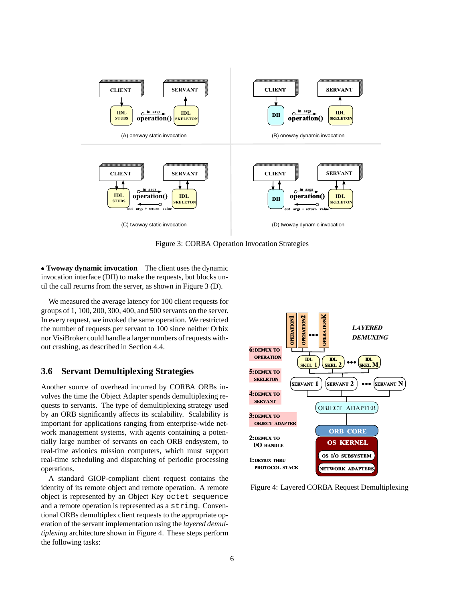

Figure 3: CORBA Operation Invocation Strategies

 **Twoway dynamic invocation** The client uses the dynamic invocation interface (DII) to make the requests, but blocks until the call returns from the server, as shown in Figure 3 (D).

We measured the average latency for 100 client requests for groups of 1, 100, 200, 300, 400, and 500 servants on the server. In every request, we invoked the same operation. We restricted the number of requests per servant to 100 since neither Orbix nor VisiBroker could handle a larger numbers of requests without crashing, as described in Section 4.4.

## **3.6 Servant Demultiplexing Strategies**

Another source of overhead incurred by CORBA ORBs involves the time the Object Adapter spends demultiplexing requests to servants. The type of demultiplexing strategy used by an ORB significantly affects its scalability. Scalability is important for applications ranging from enterprise-wide network management systems, with agents containing a potentially large number of servants on each ORB endsystem, to real-time avionics mission computers, which must support real-time scheduling and dispatching of periodic processing operations.

A standard GIOP-compliant client request contains the identity of its remote object and remote operation. A remote object is represented by an Object Key octet sequence and a remote operation is represented as a string. Conventional ORBs demultiplex client requests to the appropriate operation of the servant implementation using the *layered demultiplexing* architecture shown in Figure 4. These steps perform the following tasks:



Figure 4: Layered CORBA Request Demultiplexing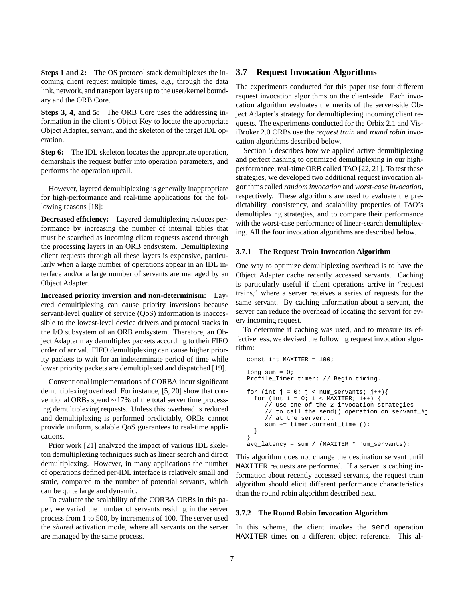**Steps 1 and 2:** The OS protocol stack demultiplexes the incoming client request multiple times, *e.g.*, through the data link, network, and transport layers up to the user/kernel boundary and the ORB Core.

**Steps 3, 4, and 5:** The ORB Core uses the addressing information in the client's Object Key to locate the appropriate Object Adapter, servant, and the skeleton of the target IDL operation.

**Step 6:** The IDL skeleton locates the appropriate operation, demarshals the request buffer into operation parameters, and performs the operation upcall.

However, layered demultiplexing is generally inappropriate for high-performance and real-time applications for the following reasons [18]:

**Decreased efficiency:** Layered demultiplexing reduces performance by increasing the number of internal tables that must be searched as incoming client requests ascend through the processing layers in an ORB endsystem. Demultiplexing client requests through all these layers is expensive, particularly when a large number of operations appear in an IDL interface and/or a large number of servants are managed by an Object Adapter.

**Increased priority inversion and non-determinism:** Layered demultiplexing can cause priority inversions because servant-level quality of service (QoS) information is inaccessible to the lowest-level device drivers and protocol stacks in the I/O subsystem of an ORB endsystem. Therefore, an Object Adapter may demultiplex packets according to their FIFO order of arrival. FIFO demultiplexing can cause higher priority packets to wait for an indeterminate period of time while lower priority packets are demultiplexed and dispatched [19].

Conventional implementations of CORBA incur significant demultiplexing overhead. For instance, [5, 20] show that conventional ORBs spend  $\sim$ 17% of the total server time processing demultiplexing requests. Unless this overhead is reduced and demultiplexing is performed predictably, ORBs cannot provide uniform, scalable QoS guarantees to real-time applications.

Prior work [21] analyzed the impact of various IDL skeleton demultiplexing techniques such as linear search and direct demultiplexing. However, in many applications the number of operations defined per-IDL interface is relatively small and static, compared to the number of potential servants, which can be quite large and dynamic.

To evaluate the scalability of the CORBA ORBs in this paper, we varied the number of servants residing in the server process from 1 to 500, by increments of 100. The server used the *shared* activation mode, where all servants on the server are managed by the same process.

### **3.7 Request Invocation Algorithms**

The experiments conducted for this paper use four different request invocation algorithms on the client-side. Each invocation algorithm evaluates the merits of the server-side Object Adapter's strategy for demultiplexing incoming client requests. The experiments conducted for the Orbix 2.1 and VisiBroker 2.0 ORBs use the *request train* and *round robin* invocation algorithms described below.

Section 5 describes how we applied active demultiplexing and perfect hashing to optimized demultiplexing in our highperformance, real-time ORB called TAO [22, 21]. To test these strategies, we developed two additional request invocation algorithms called *random invocation* and *worst-case invocation*, respectively. These algorithms are used to evaluate the predictability, consistency, and scalability properties of TAO's demultiplexing strategies, and to compare their performance with the worst-case performance of linear-search demultiplexing. All the four invocation algorithms are described below.

#### **3.7.1 The Request Train Invocation Algorithm**

One way to optimize demultiplexing overhead is to have the Object Adapter cache recently accessed servants. Caching is particularly useful if client operations arrive in "request trains," where a server receives a series of requests for the same servant. By caching information about a servant, the server can reduce the overhead of locating the servant for every incoming request.

To determine if caching was used, and to measure its effectiveness, we devised the following request invocation algorithm:

```
const int MAXITER = 100;
long sum = 0;
Profile_Timer timer; // Begin timing.
for (int j = 0; j < num\_servants; j++){
  for (int i = 0; i < MAXITER; i++) {
     // Use one of the 2 invocation strategies
     // to call the send() operation on servant_#j
     // at the server...
     sum += timer.current_time ();
  }
}
avg_latency = sum / (MAXITER * num_servants);
```
This algorithm does not change the destination servant until MAXITER requests are performed. If a server is caching information about recently accessed servants, the request train algorithm should elicit different performance characteristics than the round robin algorithm described next.

#### **3.7.2 The Round Robin Invocation Algorithm**

In this scheme, the client invokes the send operation MAXITER times on a different object reference. This al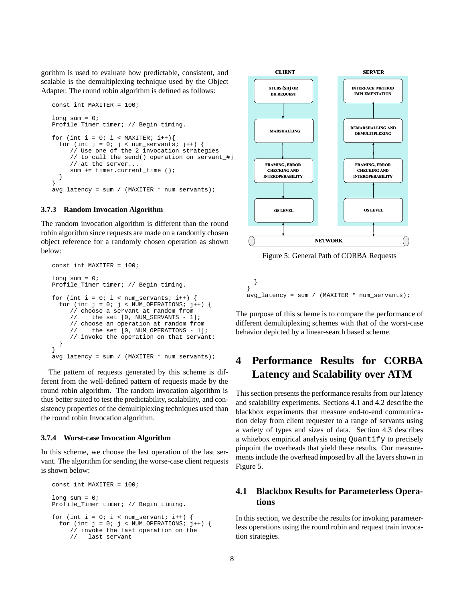gorithm is used to evaluate how predictable, consistent, and scalable is the demultiplexing technique used by the Object Adapter. The round robin algorithm is defined as follows:

```
const int MAXITER = 100;
long sum = 0;Profile_Timer timer; // Begin timing.
for (int i = 0; i < MAXITER; i++){
  for (int j = 0; j < num\_servants; j++) {
     // Use one of the 2 invocation strategies
     // to call the send() operation on servant_#j
     // at the server...
     sum += timer.current time ();
  }
}
avg_latency = sum / (MAXITER * num_servants);
```
#### **3.7.3 Random Invocation Algorithm**

The random invocation algorithm is different than the round robin algorithm since requests are made on a randomly chosen object reference for a randomly chosen operation as shown below:

```
const int MAXITER = 100;
long sum = 0;Profile_Timer timer; // Begin timing.
for (int i = 0; i < num_servants; i++) {
  for (int j = 0; j < NUM_OPERATIONS; j++) {
     // choose a servant at random from<br>// the set [0, NUM SERVANTS - 1]
            the set [0, NUM_SERVANTS - 1];
     // choose an operation at random from
     // the set [0, NUM_OPERATIONS - 1];
     // invoke the operation on that servant;
  }
}
avg\_latency = sum / (MAXITER * num\_servants);
```
The pattern of requests generated by this scheme is different from the well-defined pattern of requests made by the round robin algorithm. The random invocation algorithm is thus better suited to test the predictability, scalability, and consistency properties of the demultiplexing techniques used than the round robin Invocation algorithm.

#### **3.7.4 Worst-case Invocation Algorithm**

In this scheme, we choose the last operation of the last servant. The algorithm for sending the worse-case client requests is shown below:

```
const int MAXITER = 100;
long sum = 0;Profile_Timer timer; // Begin timing.
for (int i = 0; i < num\_servant; i++)for (int j = 0; j < NUM_OPERATIONS; j++) {
     // invoke the last operation on the
     // last servant
```


Figure 5: General Path of CORBA Requests

} }  $avg\_latency = sum / (MAXITER * num\_servants);$ 

The purpose of this scheme is to compare the performance of different demultiplexing schemes with that of the worst-case behavior depicted by a linear-search based scheme.

# **4 Performance Results for CORBA Latency and Scalability over ATM**

This section presents the performance results from our latency and scalability experiments. Sections 4.1 and 4.2 describe the blackbox experiments that measure end-to-end communication delay from client requester to a range of servants using a variety of types and sizes of data. Section 4.3 describes a whitebox empirical analysis using Quantify to precisely pinpoint the overheads that yield these results. Our measurements include the overhead imposed by all the layers shown in Figure 5.

## **4.1 Blackbox Results for Parameterless Operations**

In this section, we describe the results for invoking parameterless operations using the round robin and request train invocation strategies.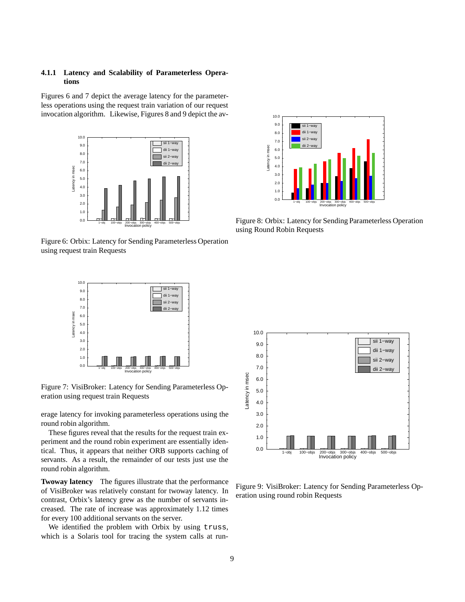### **4.1.1 Latency and Scalability of Parameterless Operations**

Figures 6 and 7 depict the average latency for the parameterless operations using the request train variation of our request invocation algorithm. Likewise, Figures 8 and 9 depict the av-



Figure 6: Orbix: Latency for Sending Parameterless Operation using request train Requests



Figure 7: VisiBroker: Latency for Sending Parameterless Operation using request train Requests

erage latency for invoking parameterless operations using the round robin algorithm.

These figures reveal that the results for the request train experiment and the round robin experiment are essentially identical. Thus, it appears that neither ORB supports caching of servants. As a result, the remainder of our tests just use the round robin algorithm.

**Twoway latency** The figures illustrate that the performance of VisiBroker was relatively constant for twoway latency. In contrast, Orbix's latency grew as the number of servants increased. The rate of increase was approximately 1.12 times for every 100 additional servants on the server.

We identified the problem with Orbix by using truss, which is a Solaris tool for tracing the system calls at run-



Figure 8: Orbix: Latency for Sending Parameterless Operation using Round Robin Requests



Figure 9: VisiBroker: Latency for Sending Parameterless Operation using round robin Requests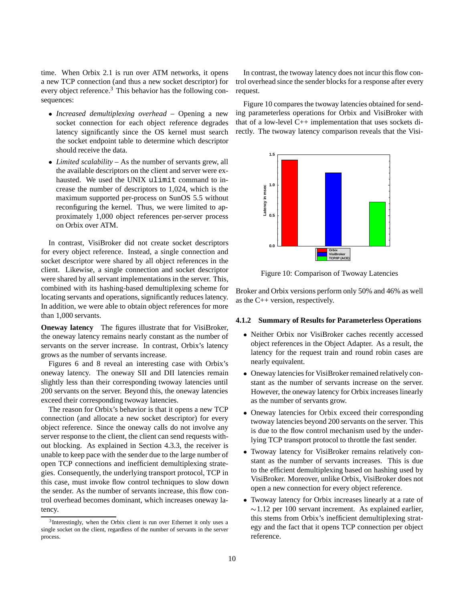time. When Orbix 2.1 is run over ATM networks, it opens a new TCP connection (and thus a new socket descriptor) for every object reference.<sup>3</sup> This behavior has the following consequences:

- *Increased demultiplexing overhead* Opening a new socket connection for each object reference degrades latency significantly since the OS kernel must search the socket endpoint table to determine which descriptor should receive the data.
- *Limited scalability* As the number of servants grew, all the available descriptors on the client and server were exhausted. We used the UNIX ulimit command to increase the number of descriptors to 1,024, which is the maximum supported per-process on SunOS 5.5 without reconfiguring the kernel. Thus, we were limited to approximately 1,000 object references per-server process on Orbix over ATM.

In contrast, VisiBroker did not create socket descriptors for every object reference. Instead, a single connection and socket descriptor were shared by all object references in the client. Likewise, a single connection and socket descriptor were shared by all servant implementations in the server. This, combined with its hashing-based demultiplexing scheme for locating servants and operations, significantly reduces latency. In addition, we were able to obtain object references for more than 1,000 servants.

**Oneway latency** The figures illustrate that for VisiBroker, the oneway latency remains nearly constant as the number of servants on the server increase. In contrast, Orbix's latency grows as the number of servants increase.

Figures 6 and 8 reveal an interesting case with Orbix's oneway latency. The oneway SII and DII latencies remain slightly less than their corresponding twoway latencies until 200 servants on the server. Beyond this, the oneway latencies exceed their corresponding twoway latencies.

The reason for Orbix's behavior is that it opens a new TCP connection (and allocate a new socket descriptor) for every object reference. Since the oneway calls do not involve any server response to the client, the client can send requests without blocking. As explained in Section 4.3.3, the receiver is unable to keep pace with the sender due to the large number of open TCP connections and inefficient demultiplexing strategies. Consequently, the underlying transport protocol, TCP in this case, must invoke flow control techniques to slow down the sender. As the number of servants increase, this flow control overhead becomes dominant, which increases oneway latency.

In contrast, the twoway latency does not incur this flow control overhead since the sender blocks for a response after every request.

Figure 10 compares the twoway latencies obtained for sending parameterless operations for Orbix and VisiBroker with that of a low-level C++ implementation that uses sockets directly. The twoway latency comparison reveals that the Visi-



Figure 10: Comparison of Twoway Latencies

Broker and Orbix versions perform only 50% and 46% as well as the C++ version, respectively.

#### **4.1.2 Summary of Results for Parameterless Operations**

- Neither Orbix nor VisiBroker caches recently accessed object references in the Object Adapter. As a result, the latency for the request train and round robin cases are nearly equivalent.
- Oneway latencies for VisiBroker remained relatively constant as the number of servants increase on the server. However, the oneway latency for Orbix increases linearly as the number of servants grow.
- Oneway latencies for Orbix exceed their corresponding twoway latencies beyond 200 servants on the server. This is due to the flow control mechanism used by the underlying TCP transport protocol to throttle the fast sender.
- Twoway latency for VisiBroker remains relatively constant as the number of servants increases. This is due to the efficient demultiplexing based on hashing used by VisiBroker. Moreover, unlike Orbix, VisiBroker does not open a new connection for every object reference.
- Twoway latency for Orbix increases linearly at a rate of  $\sim$ 1.12 per 100 servant increment. As explained earlier, this stems from Orbix's inefficient demultiplexing strategy and the fact that it opens TCP connection per object reference.

 $3$ Interestingly, when the Orbix client is run over Ethernet it only uses a single socket on the client, regardless of the number of servants in the server process.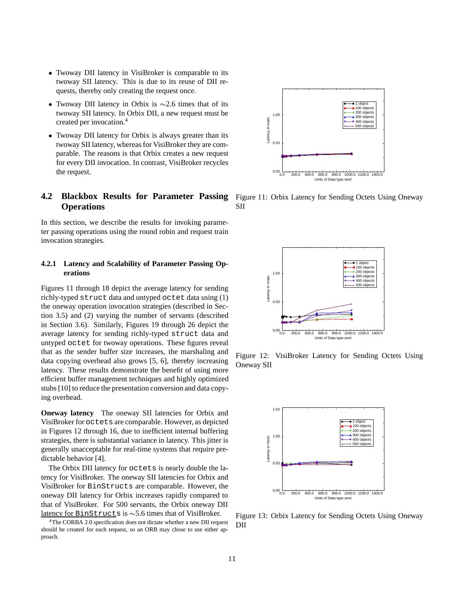- Twoway DII latency in VisiBroker is comparable to its twoway SII latency. This is due to its reuse of DII requests, thereby only creating the request once.
- Twoway DII latency in Orbix is  $\sim$  2.6 times that of its twoway SII latency. In Orbix DII, a new request must be created per invocation.4
- Twoway DII latency for Orbix is always greater than its twoway SII latency, whereas for VisiBroker they are comparable. The reasons is that Orbix creates a new request for every DII invocation. In contrast, VisiBroker recycles the request.

## **4.2 Blackbox Results for Parameter Passing Operations**

In this section, we describe the results for invoking parameter passing operations using the round robin and request train invocation strategies.

#### **4.2.1 Latency and Scalability of Parameter Passing Operations**

Figures 11 through 18 depict the average latency for sending richly-typed struct data and untyped octet data using (1) the oneway operation invocation strategies (described in Section 3.5) and (2) varying the number of servants (described in Section 3.6). Similarly, Figures 19 through 26 depict the average latency for sending richly-typed struct data and untyped octet for twoway operations. These figures reveal that as the sender buffer size increases, the marshaling and data copying overhead also grows [5, 6], thereby increasing latency. These results demonstrate the benefit of using more efficient buffer management techniques and highly optimized stubs [10] to reduce the presentation conversion and data copying overhead.

**Oneway latency** The oneway SII latencies for Orbix and VisiBroker for octets are comparable. However, as depicted in Figures 12 through 16, due to inefficient internal buffering strategies, there is substantial variance in latency. This jitter is generally unacceptable for real-time systems that require predictable behavior [4].

The Orbix DII latency for octets is nearly double the latency for VisiBroker. The oneway SII latencies for Orbix and VisiBroker for BinStructs are comparable. However, the oneway DII latency for Orbix increases rapidly compared to that of VisiBroker. For 500 servants, the Orbix oneway DII latency for BinStructs is  $\sim$  5.6 times that of VisiBroker.

<sup>4</sup>The CORBA 2.0 specification does not dictate whether a new DII request should be created for each request, so an ORB may chose to use either approach.



Figure 11: Orbix Latency for Sending Octets Using Oneway SII



Figure 12: VisiBroker Latency for Sending Octets Using Oneway SII



Figure 13: Orbix Latency for Sending Octets Using Oneway DII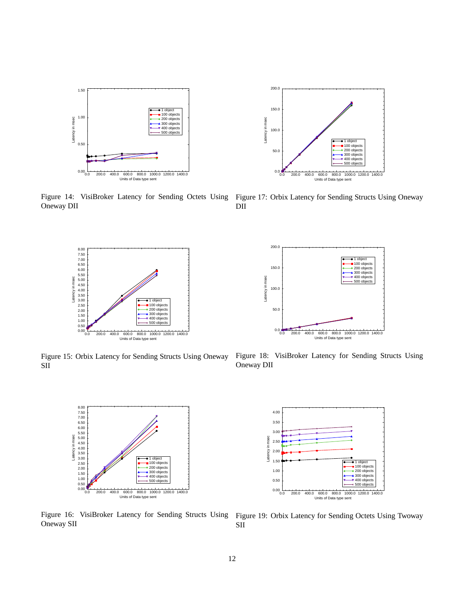

Oneway DII



Figure 15: Orbix Latency for Sending Structs Using Oneway SII



Oneway SII



Figure 14: VisiBroker Latency for Sending Octets Using Figure 17: Orbix Latency for Sending Structs Using Oneway DII



Figure 18: VisiBroker Latency for Sending Structs Using Oneway DII



Figure 16: VisiBroker Latency for Sending Structs Using Figure 19: Orbix Latency for Sending Octets Using Twoway SII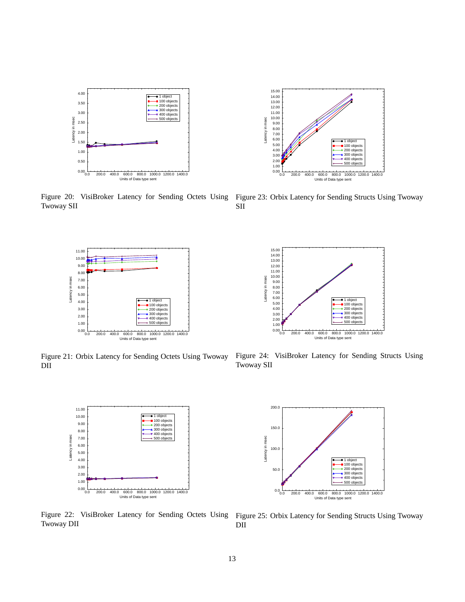

Twoway SII



Figure 21: Orbix Latency for Sending Octets Using Twoway DII



Figure 22: VisiBroker Latency for Sending Octets Using Twoway DII



Figure 20: VisiBroker Latency for Sending Octets Using Figure 23: Orbix Latency for Sending Structs Using Twoway



Figure 24: VisiBroker Latency for Sending Structs Using Twoway SII



Figure 25: Orbix Latency for Sending Structs Using Twoway DII

SII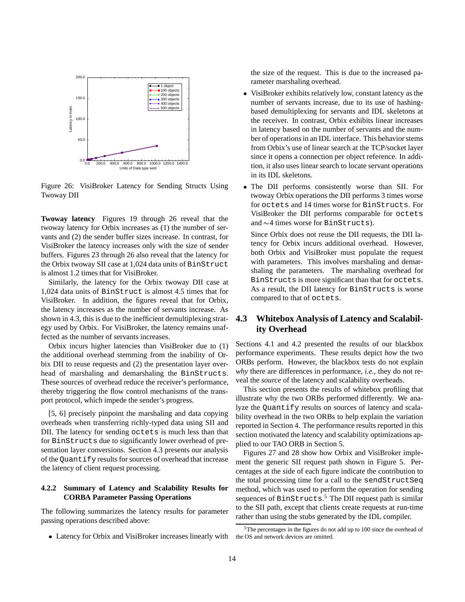

Figure 26: VisiBroker Latency for Sending Structs Using Twoway DII

**Twoway latency** Figures 19 through 26 reveal that the twoway latency for Orbix increases as (1) the number of servants and (2) the sender buffer sizes increase. In contrast, for VisiBroker the latency increases only with the size of sender buffers. Figures 23 through 26 also reveal that the latency for the Orbix twoway SII case at 1,024 data units of BinStruct is almost 1.2 times that for VisiBroker.

Similarly, the latency for the Orbix twoway DII case at 1,024 data units of BinStruct is almost 4.5 times that for VisiBroker. In addition, the figures reveal that for Orbix, the latency increases as the number of servants increase. As shown in 4.3, this is due to the inefficient demultiplexing strategy used by Orbix. For VisiBroker, the latency remains unaffected as the number of servants increases.

Orbix incurs higher latencies than VisiBroker due to (1) the additional overhead stemming from the inability of Orbix DII to reuse requests and (2) the presentation layer overhead of marshaling and demarshaling the BinStructs. These sources of overhead reduce the receiver's performance, thereby triggering the flow control mechanisms of the transport protocol, which impede the sender's progress.

[5, 6] precisely pinpoint the marshaling and data copying overheads when transferring richly-typed data using SII and DII. The latency for sending octets is much less than that for BinStructs due to significantly lower overhead of presentation layer conversions. Section 4.3 presents our analysis of the Quantify results for sources of overhead that increase the latency of client request processing.

### **4.2.2 Summary of Latency and Scalability Results for CORBA Parameter Passing Operations**

The following summarizes the latency results for parameter passing operations described above:

Latency for Orbix and VisiBroker increases linearly with

the size of the request. This is due to the increased parameter marshaling overhead.

- VisiBroker exhibits relatively low, constant latency as the number of servants increase, due to its use of hashingbased demultiplexing for servants and IDL skeletons at the receiver. In contrast, Orbix exhibits linear increases in latency based on the number of servants and the number of operations in an IDL interface. This behavior stems from Orbix's use of linear search at the TCP/socket layer since it opens a connection per object reference. In addition, it also uses linear search to locate servant operations in its IDL skeletons.
- The DII performs consistently worse than SII. For twoway Orbix operations the DII performs 3 times worse for octets and 14 times worse for BinStructs. For VisiBroker the DII performs comparable for octets and  $\sim$  4 times worse for BinStructs).

Since Orbix does not reuse the DII requests, the DII latency for Orbix incurs additional overhead. However, both Orbix and VisiBroker must populate the request with parameters. This involves marshaling and demarshaling the parameters. The marshaling overhead for BinStructs is more significant than that for octets. As a result, the DII latency for BinStructs is worse compared to that of octets.

## **4.3 Whitebox Analysis of Latency and Scalability Overhead**

Sections 4.1 and 4.2 presented the results of our blackbox performance experiments. These results depict *how* the two ORBs perform. However, the blackbox tests do not explain *why* there are differences in performance, *i.e.*, they do not reveal the *source* of the latency and scalability overheads.

This section presents the results of whitebox profiling that illustrate why the two ORBs performed differently. We analyze the Quantify results on sources of latency and scalability overhead in the two ORBs to help explain the variation reported in Section 4. The performance results reported in this section motivated the latency and scalability optimizations applied to our TAO ORB in Section 5.

Figures 27 and 28 show how Orbix and VisiBroker implement the generic SII request path shown in Figure 5. Percentages at the side of each figure indicate the contribution to the total processing time for a call to the sendStructSeq method, which was used to perform the operation for sending sequences of BinStructs. <sup>5</sup> The DII request path is similar to the SII path, except that clients create requests at run-time rather than using the stubs generated by the IDL compiler.

<sup>5</sup>The percentages in the figures do not add up to 100 since the overhead of the OS and network devices are omitted.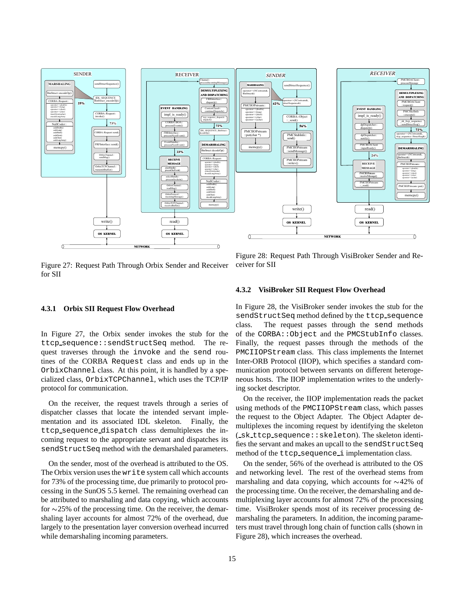

Figure 27: Request Path Through Orbix Sender and Receiver for SII

Figure 28: Request Path Through VisiBroker Sender and Receiver for SII

#### **4.3.1 Orbix SII Request Flow Overhead**

In Figure 27, the Orbix sender invokes the stub for the ttcp sequence::sendStructSeq method. The request traverses through the invoke and the send routines of the CORBA Request class and ends up in the OrbixChannel class. At this point, it is handled by a specialized class, OrbixTCPChannel, which uses the TCP/IP protocol for communication.

On the receiver, the request travels through a series of dispatcher classes that locate the intended servant implementation and its associated IDL skeleton. Finally, the ttcp sequence dispatch class demultiplexes the incoming request to the appropriate servant and dispatches its sendStructSeq method with the demarshaled parameters.

On the sender, most of the overhead is attributed to the OS. The Orbix version uses the write system call which accounts for 73% of the processing time, due primarily to protocol processing in the SunOS 5.5 kernel. The remaining overhead can be attributed to marshaling and data copying, which accounts for  $\sim$ 25% of the processing time. On the receiver, the demarshaling layer accounts for almost 72% of the overhead, due largely to the presentation layer conversion overhead incurred while demarshaling incoming parameters.

#### **4.3.2 VisiBroker SII Request Flow Overhead**

In Figure 28, the VisiBroker sender invokes the stub for the sendStructSeq method defined by the ttcp sequence class. The request passes through the send methods of the CORBA::Object and the PMCStubInfo classes. Finally, the request passes through the methods of the PMCIIOPStream class. This class implements the Internet Inter-ORB Protocol (IIOP), which specifies a standard communication protocol between servants on different heterogeneous hosts. The IIOP implementation writes to the underlying socket descriptor.

On the receiver, the IIOP implementation reads the packet using methods of the PMCIIOPStream class, which passes the request to the Object Adapter. The Object Adapter demultiplexes the incoming request by identifying the skeleton ( sk ttcp sequence::skeleton). The skeleton identifies the servant and makes an upcall to the sendStructSeq method of the ttcp\_sequence\_i implementation class.

On the sender, 56% of the overhead is attributed to the OS and networking level. The rest of the overhead stems from marshaling and data copying, which accounts for  $\sim$ 42% of the processing time. On the receiver, the demarshaling and demultiplexing layer accounts for almost 72% of the processing time. VisiBroker spends most of its receiver processing demarshaling the parameters. In addition, the incoming parameters must travel through long chain of function calls (shown in Figure 28), which increases the overhead.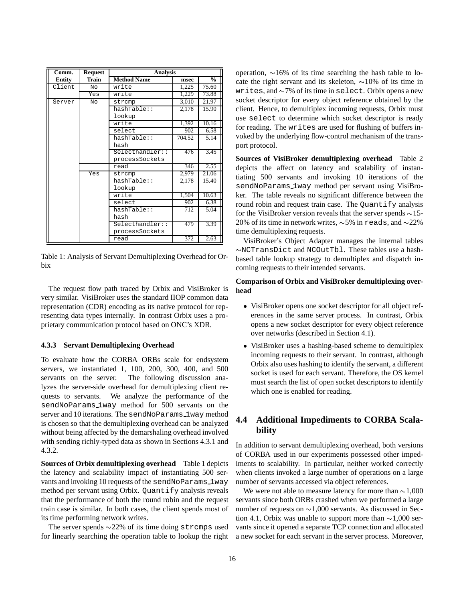| Comm.         | <b>Request</b> | <b>Analysis</b>    |        |               |
|---------------|----------------|--------------------|--------|---------------|
| <b>Entity</b> | Train          | <b>Method Name</b> | msec   | $\frac{0}{0}$ |
| Client        | No             | write              | 1,225  | 75.60         |
|               | Yes            | write              | 1,229  | 73.88         |
| Server        | NΩ             | strcmp             | 3,010  | 21.97         |
|               |                | hashTable::        | 2,178  | 15.90         |
|               |                | lookup             |        |               |
|               |                | write              | 1,392  | 10.16         |
|               |                | select             | 902    | 6.58          |
|               |                | hashTable::        | 704.52 | 5.14          |
|               |                | hash               |        |               |
|               |                | Selecthandler::    | 476    | 3.45          |
|               |                | processSockets     |        |               |
|               |                | read               | 346    | 2.55          |
|               | Yes            | strcmp             | 2,979  | 21.06         |
|               |                | hashTable::        | 2,178  | 15.40         |
|               |                | lookup             |        |               |
|               |                | write              | 1,504  | 10.63         |
|               |                | select             | 902    | 6.38          |
|               |                | hashTable::        | 712    | 5.04          |
|               |                | hash               |        |               |
|               |                | Selecthandler::    | 479    | 3.39          |
|               |                | processSockets     |        |               |
|               |                | read               | 372    | 2.63          |

Table 1: Analysis of Servant Demultiplexing Overhead for Orbix

The request flow path traced by Orbix and VisiBroker is very similar. VisiBroker uses the standard IIOP common data representation (CDR) encoding as its native protocol for representing data types internally. In contrast Orbix uses a proprietary communication protocol based on ONC's XDR.

#### **4.3.3 Servant Demultiplexing Overhead**

To evaluate how the CORBA ORBs scale for endsystem servers, we instantiated 1, 100, 200, 300, 400, and 500 servants on the server. The following discussion analyzes the server-side overhead for demultiplexing client requests to servants. We analyze the performance of the sendNoParams 1way method for 500 servants on the server and 10 iterations. The sendNoParams\_1way method is chosen so that the demultiplexing overhead can be analyzed without being affected by the demarshaling overhead involved with sending richly-typed data as shown in Sections 4.3.1 and 4.3.2.

**Sources of Orbix demultiplexing overhead** Table 1 depicts the latency and scalability impact of instantiating 500 servants and invoking 10 requests of the sendNoParams\_1way method per servant using Orbix. Quantify analysis reveals that the performance of both the round robin and the request train case is similar. In both cases, the client spends most of its time performing network writes.

The server spends  $\sim$ 22% of its time doing strcmps used for linearly searching the operation table to lookup the right operation,  $\sim 16\%$  of its time searching the hash table to locate the right servant and its skeleton,  $\sim$ 10% of its time in writes, and  $\sim$ 7% of its time in select. Orbix opens a new socket descriptor for every object reference obtained by the client. Hence, to demultiplex incoming requests, Orbix must use select to determine which socket descriptor is ready for reading. The writes are used for flushing of buffers invoked by the underlying flow-control mechanism of the transport protocol.

**Sources of VisiBroker demultiplexing overhead** Table 2 depicts the affect on latency and scalability of instantiating 500 servants and invoking 10 iterations of the sendNoParams 1way method per servant using VisiBroker. The table reveals no significant difference between the round robin and request train case. The Quantify analysis for the VisiBroker version reveals that the server spends  $\sim$ 15-20% of its time in network writes,  $\sim$  5% in reads, and  $\sim$ 22% time demultiplexing requests.

VisiBroker's Object Adapter manages the internal tables  $\sim$ NCTransDict and NCOutTbl. These tables use a hashbased table lookup strategy to demultiplex and dispatch incoming requests to their intended servants.

#### **Comparison of Orbix and VisiBroker demultiplexing overhead**

- VisiBroker opens one socket descriptor for all object references in the same server process. In contrast, Orbix opens a new socket descriptor for every object reference over networks (described in Section 4.1).
- VisiBroker uses a hashing-based scheme to demultiplex incoming requests to their servant. In contrast, although Orbix also uses hashing to identify the servant, a different socket is used for each servant. Therefore, the OS kernel must search the list of open socket descriptors to identify which one is enabled for reading.

## **4.4 Additional Impediments to CORBA Scalability**

In addition to servant demultiplexing overhead, both versions of CORBA used in our experiments possessed other impediments to scalability. In particular, neither worked correctly when clients invoked a large number of operations on a large number of servants accessed via object references.

We were not able to measure latency for more than  $\sim$ 1,000 servants since both ORBs crashed when we performed a large number of requests on  $\sim$ 1,000 servants. As discussed in Section 4.1, Orbix was unable to support more than  $\sim$ 1,000 servants since it opened a separate TCP connection and allocated a new socket for each servant in the server process. Moreover,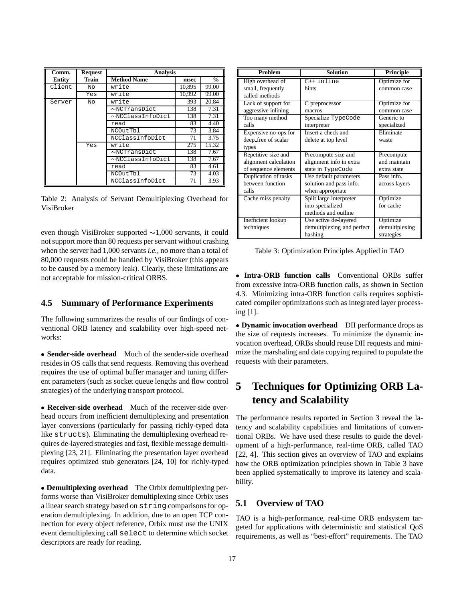| Comm.         | <b>Request</b> | <b>Analysis</b>        |        |               |
|---------------|----------------|------------------------|--------|---------------|
| <b>Entity</b> | Train          | <b>Method Name</b>     | msec   | $\frac{0}{0}$ |
| Client        | No             | write                  | 10,895 | 99.00         |
|               | Yes            | write                  | 10,992 | 99.00         |
| Server        | Nο             | write                  | 393    | 20.84         |
|               |                | $\sim$ NCTransDict     | 138    | 7.31          |
|               |                | $\sim$ NCClassInfoDict | 138    | 7.31          |
|               |                | read                   | 83     | 4.40          |
|               |                | NCOutTbl               | 73     | 3.84          |
|               |                | NCClassInfoDict        | 71     | 3.75          |
|               | Yes            | write                  | 275    | 15.32         |
|               |                | $\sim$ NCTransDict     | 138    | 7.67          |
|               |                | $\sim$ NCClassInfoDict | 138    | 7.67          |
|               |                | read                   | 83     | 4.61          |
|               |                | NCOutTbl               | 73     | 4.03          |
|               |                | NCClassInfoDict        | 71     | 3.93          |

Table 2: Analysis of Servant Demultiplexing Overhead for VisiBroker

even though VisiBroker supported  $\sim 1,000$  servants, it could not support more than 80 requests per servant without crashing when the server had 1,000 servants *i.e.*, no more than a total of 80,000 requests could be handled by VisiBroker (this appears to be caused by a memory leak). Clearly, these limitations are not acceptable for mission-critical ORBS.

### **4.5 Summary of Performance Experiments**

The following summarizes the results of our findings of conventional ORB latency and scalability over high-speed networks:

 **Sender-side overhead** Much of the sender-side overhead resides in OS calls that send requests. Removing this overhead requires the use of optimal buffer manager and tuning different parameters (such as socket queue lengths and flow control strategies) of the underlying transport protocol.

 **Receiver-side overhead** Much of the receiver-side overhead occurs from inefficient demultiplexing and presentation layer conversions (particularly for passing richly-typed data like structs). Eliminating the demultiplexing overhead requires de-layered strategies and fast, flexible message demultiplexing [23, 21]. Eliminating the presentation layer overhead requires optimized stub generators [24, 10] for richly-typed data.

 **Demultiplexing overhead** The Orbix demultiplexing performs worse than VisiBroker demultiplexing since Orbix uses a linear search strategy based on string comparisons for operation demultiplexing. In addition, due to an open TCP connection for every object reference, Orbix must use the UNIX event demultiplexing call select to determine which socket descriptors are ready for reading.

| <b>Problem</b>        | <b>Solution</b>            | Principle      |  |
|-----------------------|----------------------------|----------------|--|
| High overhead of      | $C++$ inline               | Optimize for   |  |
| small, frequently     | hints                      | common case    |  |
| called methods        |                            |                |  |
| Lack of support for   | C preprocessor             | Optimize for   |  |
| aggressive inlining   | macros                     | common case    |  |
| Too many method       | Specialize TypeCode        | Generic to     |  |
| calls                 | interpreter                | specialized    |  |
| Expensive no-ops for  | Insert a check and         | Eliminate      |  |
| deep_free of scalar   | delete at top level        | waste          |  |
| types                 |                            |                |  |
| Repetitive size and   | Precompute size and        | Precompute     |  |
| alignment calculation | alignment info in extra    | and maintain   |  |
| of sequence elements  | state in TypeCode          | extra state    |  |
| Duplication of tasks  | Use default parameters     | Pass info.     |  |
| between function      | solution and pass info.    | across layers  |  |
| calls                 | when appropriate           |                |  |
| Cache miss penalty    | Split large interpreter    | Optimize       |  |
|                       | into specialized           | for cache      |  |
|                       | methods and outline        |                |  |
| Inefficient lookup    | Use active de-layered      | Optimize       |  |
| techniques            | demultiplexing and perfect | demultiplexing |  |
|                       | hashing                    | strategies     |  |

Table 3: Optimization Principles Applied in TAO

 **Intra-ORB function calls** Conventional ORBs suffer from excessive intra-ORB function calls, as shown in Section 4.3. Minimizing intra-ORB function calls requires sophisticated compiler optimizations such as integrated layer processing [1].

 **Dynamic invocation overhead** DII performance drops as the size of requests increases. To minimize the dynamic invocation overhead, ORBs should reuse DII requests and minimize the marshaling and data copying required to populate the requests with their parameters.

# **5 Techniques for Optimizing ORB Latency and Scalability**

The performance results reported in Section 3 reveal the latency and scalability capabilities and limitations of conventional ORBs. We have used these results to guide the development of a high-performance, real-time ORB, called TAO [22, 4]. This section gives an overview of TAO and explains how the ORB optimization principles shown in Table 3 have been applied systematically to improve its latency and scalability.

## **5.1 Overview of TAO**

TAO is a high-performance, real-time ORB endsystem targeted for applications with deterministic and statistical QoS requirements, as well as "best-effort" requirements. The TAO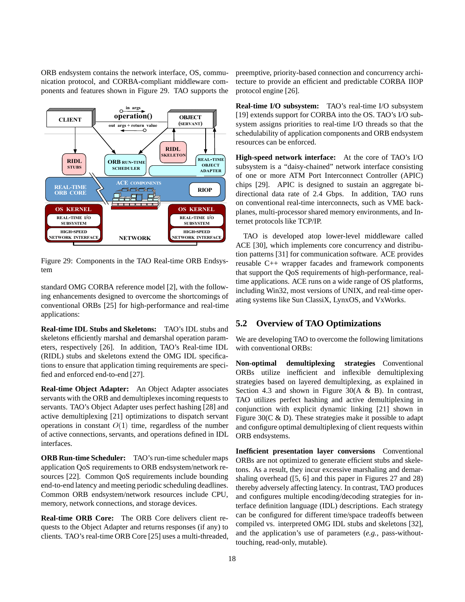ORB endsystem contains the network interface, OS, communication protocol, and CORBA-compliant middleware components and features shown in Figure 29. TAO supports the



Figure 29: Components in the TAO Real-time ORB Endsystem

standard OMG CORBA reference model [2], with the following enhancements designed to overcome the shortcomings of conventional ORBs [25] for high-performance and real-time applications:

**Real-time IDL Stubs and Skeletons:** TAO's IDL stubs and skeletons efficiently marshal and demarshal operation parameters, respectively [26]. In addition, TAO's Real-time IDL (RIDL) stubs and skeletons extend the OMG IDL specifications to ensure that application timing requirements are specified and enforced end-to-end [27].

**Real-time Object Adapter:** An Object Adapter associates servants with the ORB and demultiplexes incoming requests to servants. TAO's Object Adapter uses perfect hashing [28] and active demultiplexing [21] optimizations to dispatch servant operations in constant  $O(1)$  time, regardless of the number of active connections, servants, and operations defined in IDL interfaces.

**ORB Run-time Scheduler:** TAO's run-time scheduler maps application QoS requirements to ORB endsystem/network resources [22]. Common QoS requirements include bounding end-to-end latency and meeting periodic scheduling deadlines. Common ORB endsystem/network resources include CPU, memory, network connections, and storage devices.

**Real-time ORB Core:** The ORB Core delivers client requests to the Object Adapter and returns responses (if any) to clients. TAO's real-time ORB Core [25] uses a multi-threaded, preemptive, priority-based connection and concurrency architecture to provide an efficient and predictable CORBA IIOP protocol engine [26].

**Real-time I/O subsystem:** TAO's real-time I/O subsystem [19] extends support for CORBA into the OS. TAO's I/O subsystem assigns priorities to real-time I/O threads so that the schedulability of application components and ORB endsystem resources can be enforced.

**High-speed network interface:** At the core of TAO's I/O subsystem is a "daisy-chained" network interface consisting of one or more ATM Port Interconnect Controller (APIC) chips [29]. APIC is designed to sustain an aggregate bidirectional data rate of 2.4 Gbps. In addition, TAO runs on conventional real-time interconnects, such as VME backplanes, multi-processor shared memory environments, and Internet protocols like TCP/IP.

TAO is developed atop lower-level middleware called ACE [30], which implements core concurrency and distribution patterns [31] for communication software. ACE provides reusable C++ wrapper facades and framework components that support the QoS requirements of high-performance, realtime applications. ACE runs on a wide range of OS platforms, including Win32, most versions of UNIX, and real-time operating systems like Sun ClassiX, LynxOS, and VxWorks.

### **5.2 Overview of TAO Optimizations**

We are developing TAO to overcome the following limitations with conventional ORBs:

**Non-optimal demultiplexing strategies** Conventional ORBs utilize inefficient and inflexible demultiplexing strategies based on layered demultiplexing, as explained in Section 4.3 and shown in Figure 30( $A \& B$ ). In contrast, TAO utilizes perfect hashing and active demultiplexing in conjunction with explicit dynamic linking [21] shown in Figure 30(C & D). These strategies make it possible to adapt and configure optimal demultiplexing of client requests within ORB endsystems.

**Inefficient presentation layer conversions** Conventional ORBs are not optimized to generate efficient stubs and skeletons. As a result, they incur excessive marshaling and demarshaling overhead ([5, 6] and this paper in Figures 27 and 28) thereby adversely affecting latency. In contrast, TAO produces and configures multiple encoding/decoding strategies for interface definition language (IDL) descriptions. Each strategy can be configured for different time/space tradeoffs between compiled vs. interpreted OMG IDL stubs and skeletons [32], and the application's use of parameters (*e.g.*, pass-withouttouching, read-only, mutable).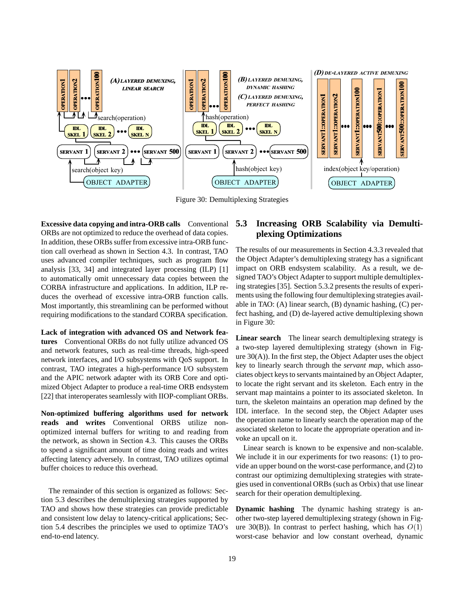

Figure 30: Demultiplexing Strategies

**Excessive data copying and intra-ORB calls** Conventional ORBs are not optimized to reduce the overhead of data copies. In addition, these ORBs suffer from excessive intra-ORB function call overhead as shown in Section 4.3. In contrast, TAO uses advanced compiler techniques, such as program flow analysis [33, 34] and integrated layer processing (ILP) [1] to automatically omit unnecessary data copies between the CORBA infrastructure and applications. In addition, ILP reduces the overhead of excessive intra-ORB function calls. Most importantly, this streamlining can be performed without requiring modifications to the standard CORBA specification.

**Lack of integration with advanced OS and Network features** Conventional ORBs do not fully utilize advanced OS and network features, such as real-time threads, high-speed network interfaces, and I/O subsystems with QoS support. In contrast, TAO integrates a high-performance I/O subsystem and the APIC network adapter with its ORB Core and optimized Object Adapter to produce a real-time ORB endsystem [22] that interoperates seamlessly with IIOP-compliant ORBs.

**Non-optimized buffering algorithms used for network reads and writes** Conventional ORBS utilize nonoptimized internal buffers for writing to and reading from the network, as shown in Section 4.3. This causes the ORBs to spend a significant amount of time doing reads and writes affecting latency adversely. In contrast, TAO utilizes optimal buffer choices to reduce this overhead.

The remainder of this section is organized as follows: Section 5.3 describes the demultiplexing strategies supported by TAO and shows how these strategies can provide predictable and consistent low delay to latency-critical applications; Section 5.4 describes the principles we used to optimize TAO's end-to-end latency.

## **5.3 Increasing ORB Scalability via Demultiplexing Optimizations**

The results of our measurements in Section 4.3.3 revealed that the Object Adapter's demultiplexing strategy has a significant impact on ORB endsystem scalability. As a result, we designed TAO's Object Adapter to support multiple demultiplexing strategies [35]. Section 5.3.2 presents the results of experiments using the following four demultiplexing strategies available in TAO: (A) linear search, (B) dynamic hashing, (C) perfect hashing, and (D) de-layered active demultiplexing shown in Figure 30:

**Linear search** The linear search demultiplexing strategy is a two-step layered demultiplexing strategy (shown in Figure 30(A)). In the first step, the Object Adapter uses the object key to linearly search through the *servant map*, which associates object keys to servants maintained by an Object Adapter, to locate the right servant and its skeleton. Each entry in the servant map maintains a pointer to its associated skeleton. In turn, the skeleton maintains an operation map defined by the IDL interface. In the second step, the Object Adapter uses the operation name to linearly search the operation map of the associated skeleton to locate the appropriate operation and invoke an upcall on it.

Linear search is known to be expensive and non-scalable. We include it in our experiments for two reasons: (1) to provide an upper bound on the worst-case performance, and (2) to contrast our optimizing demultiplexing strategies with strategies used in conventional ORBs (such as Orbix) that use linear search for their operation demultiplexing.

**Dynamic hashing** The dynamic hashing strategy is another two-step layered demultiplexing strategy (shown in Figure 30(B)). In contrast to perfect hashing, which has  $O(1)$ worst-case behavior and low constant overhead, dynamic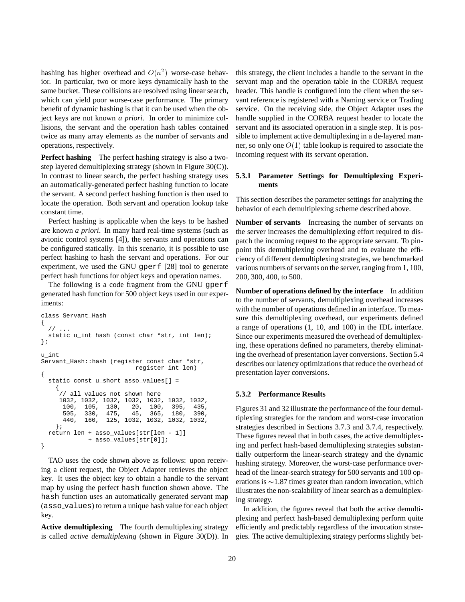hashing has higher overhead and  $O(n^2)$  worse-case behavior. In particular, two or more keys dynamically hash to the same bucket. These collisions are resolved using linear search, which can yield poor worse-case performance. The primary benefit of dynamic hashing is that it can be used when the object keys are not known *a priori*. In order to minimize collisions, the servant and the operation hash tables contained twice as many array elements as the number of servants and operations, respectively.

**Perfect hashing** The perfect hashing strategy is also a twostep layered demultiplexing strategy (shown in Figure 30(C)). In contrast to linear search, the perfect hashing strategy uses an automatically-generated perfect hashing function to locate the servant. A second perfect hashing function is then used to locate the operation. Both servant and operation lookup take constant time.

Perfect hashing is applicable when the keys to be hashed are known *a priori*. In many hard real-time systems (such as avionic control systems [4]), the servants and operations can be configured statically. In this scenario, it is possible to use perfect hashing to hash the servant and operations. For our experiment, we used the GNU gperf [28] tool to generate perfect hash functions for object keys and operation names.

The following is a code fragment from the GNU gperf generated hash function for 500 object keys used in our experiments:

```
class Servant_Hash
{
  / /
  static u_int hash (const char *str, int len);
};
u_int
Servant Hash:: hash (register const char *str,
                            register int len)
{
  static const u_short asso_values[] =
    {
     // all values not shown here
     1032, 1032, 1032, 1032, 1032, 1032, 1032,
            105, 130, 20, 100, 395, 435,<br>330, 475, 45, 365, 180, 390,
      505, 330, 475, 45, 365, 180, 390,
      440, 160, 125, 1032, 1032, 1032, 1032,
    };
  return len + asso_values[str[len - 1]]
              + asso_values[str[0]];
}
```
TAO uses the code shown above as follows: upon receiving a client request, the Object Adapter retrieves the object key. It uses the object key to obtain a handle to the servant map by using the perfect hash function shown above. The hash function uses an automatically generated servant map (asso values) to return a unique hash value for each object key.

**Active demultiplexing** The fourth demultiplexing strategy is called *active demultiplexing* (shown in Figure 30(D)). In this strategy, the client includes a handle to the servant in the servant map and the operation table in the CORBA request header. This handle is configured into the client when the servant reference is registered with a Naming service or Trading service. On the receiving side, the Object Adapter uses the handle supplied in the CORBA request header to locate the servant and its associated operation in a single step. It is possible to implement active demultiplexing in a de-layered manner, so only one  $O(1)$  table lookup is required to associate the incoming request with its servant operation.

### **5.3.1 Parameter Settings for Demultiplexing Experiments**

This section describes the parameter settings for analyzing the behavior of each demultiplexing scheme described above.

**Number of servants** Increasing the number of servants on the server increases the demultiplexing effort required to dispatch the incoming request to the appropriate servant. To pinpoint this demultiplexing overhead and to evaluate the efficiency of different demultiplexing strategies, we benchmarked various numbers of servants on the server, ranging from 1, 100, 200, 300, 400, to 500.

**Number of operations defined by the interface** In addition to the number of servants, demultiplexing overhead increases with the number of operations defined in an interface. To measure this demultiplexing overhead, our experiments defined a range of operations (1, 10, and 100) in the IDL interface. Since our experiments measured the overhead of demultiplexing, these operations defined no parameters, thereby eliminating the overhead of presentation layer conversions. Section 5.4 describes our latency optimizations that reduce the overhead of presentation layer conversions.

#### **5.3.2 Performance Results**

Figures 31 and 32 illustrate the performance of the four demultiplexing strategies for the random and worst-case invocation strategies described in Sections 3.7.3 and 3.7.4, respectively. These figures reveal that in both cases, the active demultiplexing and perfect hash-based demultiplexing strategies substantially outperform the linear-search strategy and the dynamic hashing strategy. Moreover, the worst-case performance overhead of the linear-search strategy for 500 servants and 100 operations is  $\sim$ 1.87 times greater than random invocation, which illustrates the non-scalability of linear search as a demultiplexing strategy.

In addition, the figures reveal that both the active demultiplexing and perfect hash-based demultiplexing perform quite efficiently and predictably regardless of the invocation strategies. The active demultiplexing strategy performs slightly bet-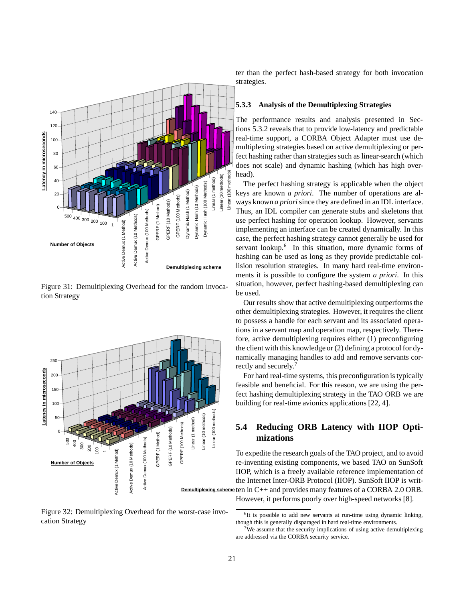

Figure 31: Demultiplexing Overhead for the random invocation Strategy



Figure 32: Demultiplexing Overhead for the worst-case invocation Strategy

ter than the perfect hash-based strategy for both invocation strategies.

#### **5.3.3 Analysis of the Demultiplexing Strategies**

The performance results and analysis presented in Sections 5.3.2 reveals that to provide low-latency and predictable real-time support, a CORBA Object Adapter must use demultiplexing strategies based on active demultiplexing or perfect hashing rather than strategies such as linear-search (which does not scale) and dynamic hashing (which has high overhead).

The perfect hashing strategy is applicable when the object keys are known *a priori*. The number of operations are always known *a priori*since they are defined in an IDL interface. Thus, an IDL compiler can generate stubs and skeletons that use perfect hashing for operation lookup. However, servants implementing an interface can be created dynamically. In this case, the perfect hashing strategy cannot generally be used for servant lookup.<sup>6</sup> In this situation, more dynamic forms of hashing can be used as long as they provide predictable collision resolution strategies. In many hard real-time environments it is possible to configure the system *a priori*. In this situation, however, perfect hashing-based demultiplexing can be used.

Our results show that active demultiplexing outperforms the other demultiplexing strategies. However, it requires the client to possess a handle for each servant and its associated operations in a servant map and operation map, respectively. Therefore, active demultiplexing requires either (1) preconfiguring the client with this knowledge or (2) defining a protocol for dynamically managing handles to add and remove servants correctly and securely.<sup>7</sup>

For hard real-time systems, this preconfiguration is typically feasible and beneficial. For this reason, we are using the perfect hashing demultiplexing strategy in the TAO ORB we are building for real-time avionics applications [22, 4].

## **5.4 Reducing ORB Latency with IIOP Optimizations**

**Demultiplexing scheme** ten in C++ and provides many features of a CORBA 2.0 ORB. To expedite the research goals of the TAO project, and to avoid re-inventing existing components, we based TAO on SunSoft IIOP, which is a freely available reference implementation of the Internet Inter-ORB Protocol (IIOP). SunSoft IIOP is writ-However, it performs poorly over high-speed networks [8].

<sup>&</sup>lt;sup>6</sup>It is possible to add new servants at run-time using dynamic linking, though this is generally disparaged in hard real-time environments.

We assume that the security implications of using active demultiplexing are addressed via the CORBA security service.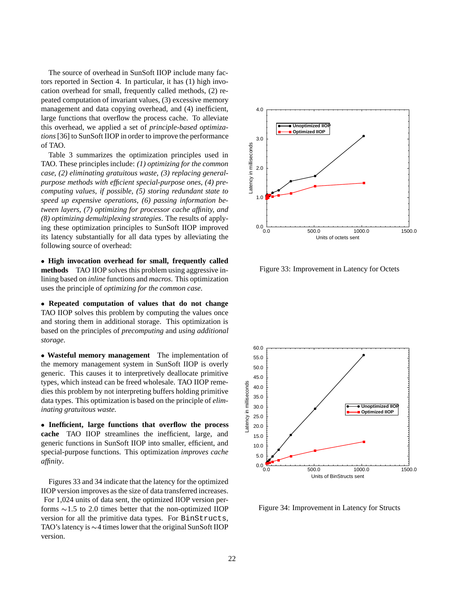The source of overhead in SunSoft IIOP include many factors reported in Section 4. In particular, it has (1) high invocation overhead for small, frequently called methods, (2) repeated computation of invariant values, (3) excessive memory management and data copying overhead, and (4) inefficient, large functions that overflow the process cache. To alleviate this overhead, we applied a set of *principle-based optimizations*[36] to SunSoft IIOP in order to improve the performance of TAO.

Table 3 summarizes the optimization principles used in TAO. These principles include: *(1) optimizing for the common case, (2) eliminating gratuitous waste, (3) replacing generalpurpose methods with efficient special-purpose ones, (4) precomputing values, if possible, (5) storing redundant state to speed up expensive operations, (6) passing information between layers, (7) optimizing for processor cache affinity, and (8) optimizing demultiplexing strategies*. The results of applying these optimization principles to SunSoft IIOP improved its latency substantially for all data types by alleviating the following source of overhead:

 **High invocation overhead for small, frequently called methods** TAO IIOP solves this problem using aggressive inlining based on *inline* functions and *macros*. This optimization uses the principle of *optimizing for the common case*.

 **Repeated computation of values that do not change** TAO IIOP solves this problem by computing the values once and storing them in additional storage. This optimization is based on the principles of *precomputing* and *using additional storage*.

 **Wasteful memory management** The implementation of the memory management system in SunSoft IIOP is overly generic. This causes it to interpretively deallocate primitive types, which instead can be freed wholesale. TAO IIOP remedies this problem by not interpreting buffers holding primitive data types. This optimization is based on the principle of *eliminating gratuitous waste*.

 **Inefficient, large functions that overflow the process cache** TAO IIOP streamlines the inefficient, large, and generic functions in SunSoft IIOP into smaller, efficient, and special-purpose functions. This optimization *improves cache affinity*.

Figures 33 and 34 indicate that the latency for the optimized IIOP version improves as the size of data transferred increases. For 1,024 units of data sent, the optimized IIOP version performs  $\sim$ 1.5 to 2.0 times better that the non-optimized IIOP version for all the primitive data types. For BinStructs, TAO's latency is  $\sim$  4 times lower that the original SunSoft IIOP version.



Figure 33: Improvement in Latency for Octets



Figure 34: Improvement in Latency for Structs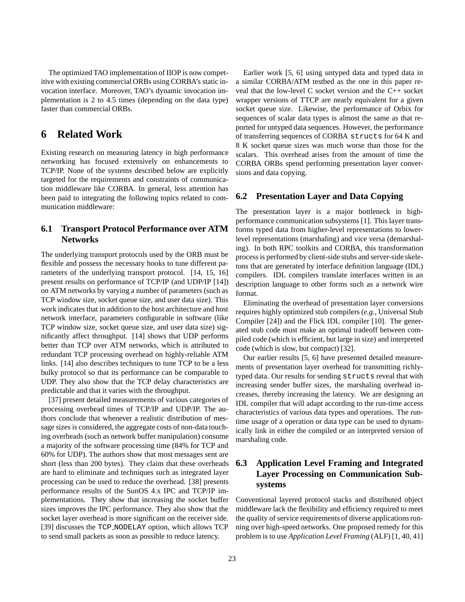The optimized TAO implementation of IIOP is now competitive with existing commercial ORBs using CORBA's static invocation interface. Moreover, TAO's dynamic invocation implementation is 2 to 4.5 times (depending on the data type) faster than commercial ORBs.

## **6 Related Work**

Existing research on measuring latency in high performance networking has focused extensively on enhancements to TCP/IP. None of the systems described below are explicitly targeted for the requirements and constraints of communication middleware like CORBA. In general, less attention has been paid to integrating the following topics related to communication middleware:

### **6.1 Transport Protocol Performance over ATM Networks**

The underlying transport protocols used by the ORB must be flexible and possess the necessary hooks to tune different parameters of the underlying transport protocol. [14, 15, 16] present results on performance of TCP/IP (and UDP/IP [14]) on ATM networks by varying a number of parameters (such as TCP window size, socket queue size, and user data size). This work indicates that in addition to the host architecture and host network interface, parameters configurable in software (like TCP window size, socket queue size, and user data size) significantly affect throughput. [14] shows that UDP performs better than TCP over ATM networks, which is attributed to redundant TCP processing overhead on highly-reliable ATM links. [14] also describes techniques to tune TCP to be a less bulky protocol so that its performance can be comparable to UDP. They also show that the TCP delay characteristics are predictable and that it varies with the throughput.

[37] present detailed measurements of various categories of processing overhead times of TCP/IP and UDP/IP. The authors conclude that whenever a realistic distribution of message sizes is considered, the aggregate costs of non-data touching overheads (such as network buffer manipulation) consume a majority of the software processing time (84% for TCP and 60% for UDP). The authors show that most messages sent are short (less than 200 bytes). They claim that these overheads are hard to eliminate and techniques such as integrated layer processing can be used to reduce the overhead. [38] presents performance results of the SunOS 4.x IPC and TCP/IP implementations. They show that increasing the socket buffer sizes improves the IPC performance. They also show that the socket layer overhead is more significant on the receiver side. [39] discusses the TCP NODELAY option, which allows TCP to send small packets as soon as possible to reduce latency.

Earlier work [5, 6] using untyped data and typed data in a similar CORBA/ATM testbed as the one in this paper reveal that the low-level C socket version and the C++ socket wrapper versions of TTCP are nearly equivalent for a given socket queue size. Likewise, the performance of Orbix for sequences of scalar data types is almost the same as that reported for untyped data sequences. However, the performance of transferring sequences of CORBA structs for 64 K and 8 K socket queue sizes was much worse than those for the scalars. This overhead arises from the amount of time the CORBA ORBs spend performing presentation layer conversions and data copying.

### **6.2 Presentation Layer and Data Copying**

The presentation layer is a major bottleneck in highperformance communication subsystems [1]. This layer transforms typed data from higher-level representations to lowerlevel representations (marshaling) and vice versa (demarshaling). In both RPC toolkits and CORBA, this transformation process is performed by client-side stubs and server-side skeletons that are generated by interface definition language (IDL) compilers. IDL compilers translate interfaces written in an description language to other forms such as a network wire format.

Eliminating the overhead of presentation layer conversions requires highly optimized stub compilers (*e.g.*, Universal Stub Compiler [24]) and the Flick IDL compiler [10]. The generated stub code must make an optimal tradeoff between compiled code (which is efficient, but large in size) and interpreted code (which is slow, but compact) [32].

Our earlier results [5, 6] have presented detailed measurements of presentation layer overhead for transmitting richlytyped data. Our results for sending structs reveal that with increasing sender buffer sizes, the marshaling overhead increases, thereby increasing the latency. We are designing an IDL compiler that will adapt according to the run-time access characteristics of various data types and operations. The runtime usage of a operation or data type can be used to dynamically link in either the compiled or an interpreted version of marshaling code.

## **6.3 Application Level Framing and Integrated Layer Processing on Communication Subsystems**

Conventional layered protocol stacks and distributed object middleware lack the flexibility and efficiency required to meet the quality of service requirements of diverse applications running over high-speed networks. One proposed remedy for this problem is to use *Application Level Framing* (ALF) [1, 40, 41]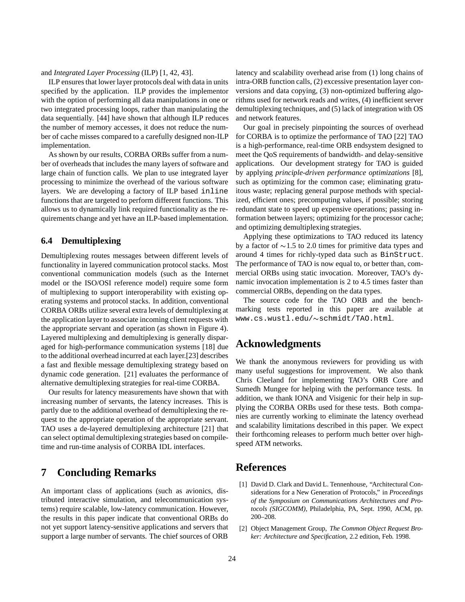and *Integrated Layer Processing* (ILP) [1, 42, 43].

ILP ensures that lower layer protocols deal with data in units specified by the application. ILP provides the implementor with the option of performing all data manipulations in one or two integrated processing loops, rather than manipulating the data sequentially. [44] have shown that although ILP reduces the number of memory accesses, it does not reduce the number of cache misses compared to a carefully designed non-ILP implementation.

As shown by our results, CORBA ORBs suffer from a number of overheads that includes the many layers of software and large chain of function calls. We plan to use integrated layer processing to minimize the overhead of the various software layers. We are developing a factory of ILP based inline functions that are targeted to perform different functions. This allows us to dynamically link required functionality as the requirements change and yet have an ILP-based implementation.

### **6.4 Demultiplexing**

Demultiplexing routes messages between different levels of functionality in layered communication protocol stacks. Most conventional communication models (such as the Internet model or the ISO/OSI reference model) require some form of multiplexing to support interoperability with existing operating systems and protocol stacks. In addition, conventional CORBA ORBs utilize several extra levels of demultiplexing at the application layer to associate incoming client requests with the appropriate servant and operation (as shown in Figure 4). Layered multiplexing and demultiplexing is generally disparaged for high-performance communication systems [18] due to the additional overhead incurred at each layer.[23] describes a fast and flexible message demultiplexing strategy based on dynamic code generation. [21] evaluates the performance of alternative demultiplexing strategies for real-time CORBA.

Our results for latency measurements have shown that with increasing number of servants, the latency increases. This is partly due to the additional overhead of demultiplexing the request to the appropriate operation of the appropriate servant. TAO uses a de-layered demultiplexing architecture [21] that can select optimal demultiplexing strategies based on compiletime and run-time analysis of CORBA IDL interfaces.

## **7 Concluding Remarks**

An important class of applications (such as avionics, distributed interactive simulation, and telecommunication systems) require scalable, low-latency communication. However, the results in this paper indicate that conventional ORBs do not yet support latency-sensitive applications and servers that support a large number of servants. The chief sources of ORB

latency and scalability overhead arise from (1) long chains of intra-ORB function calls, (2) excessive presentation layer conversions and data copying, (3) non-optimized buffering algorithms used for network reads and writes, (4) inefficient server demultiplexing techniques, and (5) lack of integration with OS and network features.

Our goal in precisely pinpointing the sources of overhead for CORBA is to optimize the performance of TAO [22] TAO is a high-performance, real-time ORB endsystem designed to meet the QoS requirements of bandwidth- and delay-sensitive applications. Our development strategy for TAO is guided by applying *principle-driven performance optimizations* [8], such as optimizing for the common case; eliminating gratuitous waste; replacing general purpose methods with specialized, efficient ones; precomputing values, if possible; storing redundant state to speed up expensive operations; passing information between layers; optimizing for the processor cache; and optimizing demultiplexing strategies.

Applying these optimizations to TAO reduced its latency by a factor of  $\sim$ 1.5 to 2.0 times for primitive data types and around 4 times for richly-typed data such as BinStruct. The performance of TAO is now equal to, or better than, commercial ORBs using static invocation. Moreover, TAO's dynamic invocation implementation is 2 to 4.5 times faster than commercial ORBs, depending on the data types.

The source code for the TAO ORB and the benchmarking tests reported in this paper are available at www.cs.wustl.edu/~schmidt/TAO.html.

## **Acknowledgments**

We thank the anonymous reviewers for providing us with many useful suggestions for improvement. We also thank Chris Cleeland for implementing TAO's ORB Core and Sumedh Mungee for helping with the performance tests. In addition, we thank IONA and Visigenic for their help in supplying the CORBA ORBs used for these tests. Both companies are currently working to eliminate the latency overhead and scalability limitations described in this paper. We expect their forthcoming releases to perform much better over highspeed ATM networks.

## **References**

- [1] David D. Clark and David L. Tennenhouse, "Architectural Considerations for a New Generation of Protocols," in *Proceedings of the Symposium on Communications Architectures and Protocols (SIGCOMM)*, Philadelphia, PA, Sept. 1990, ACM, pp. 200–208.
- [2] Object Management Group, *The Common Object Request Broker: Architecture and Specification*, 2.2 edition, Feb. 1998.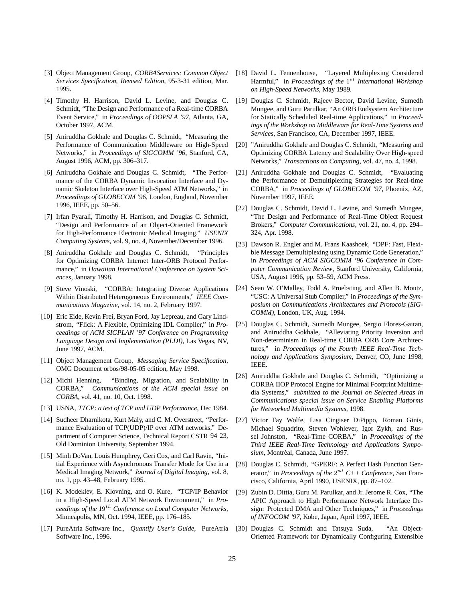- [3] Object Management Group, *CORBAServices: Common Object Services Specification, Revised Edition*, 95-3-31 edition, Mar. 1995.
- [4] Timothy H. Harrison, David L. Levine, and Douglas C. Schmidt, "The Design and Performance of a Real-time CORBA Event Service," in *Proceedings of OOPSLA '97*, Atlanta, GA, October 1997, ACM.
- [5] Aniruddha Gokhale and Douglas C. Schmidt, "Measuring the Performance of Communication Middleware on High-Speed Networks," in *Proceedings of SIGCOMM '96*, Stanford, CA, August 1996, ACM, pp. 306–317.
- [6] Aniruddha Gokhale and Douglas C. Schmidt, "The Performance of the CORBA Dynamic Invocation Interface and Dynamic Skeleton Interface over High-Speed ATM Networks," in *Proceedings of GLOBECOM '96*, London, England, November 1996, IEEE, pp. 50–56.
- [7] Irfan Pyarali, Timothy H. Harrison, and Douglas C. Schmidt, "Design and Performance of an Object-Oriented Framework for High-Performance Electronic Medical Imaging," *USENIX Computing Systems*, vol. 9, no. 4, November/December 1996.
- [8] Aniruddha Gokhale and Douglas C. Schmidt, "Principles for Optimizing CORBA Internet Inter-ORB Protocol Performance," in *Hawaiian International Conference on System Sciences*, January 1998.
- [9] Steve Vinoski, "CORBA: Integrating Diverse Applications Within Distributed Heterogeneous Environments," *IEEE Communications Magazine*, vol. 14, no. 2, February 1997.
- [10] Eric Eide, Kevin Frei, Bryan Ford, Jay Lepreau, and Gary Lindstrom, "Flick: A Flexible, Optimizing IDL Compiler," in *Proceedings of ACM SIGPLAN '97 Conference on Programming Language Design and Implementation (PLDI)*, Las Vegas, NV, June 1997, ACM.
- [11] Object Management Group, *Messaging Service Specification*, OMG Document orbos/98-05-05 edition, May 1998.
- [12] Michi Henning, "Binding, Migration, and Scalability in CORBA," *Communications of the ACM special issue on CORBA*, vol. 41, no. 10, Oct. 1998.
- [13] USNA, *TTCP: a test of TCP and UDP Performance*, Dec 1984.
- [14] Sudheer Dharnikota, Kurt Maly, and C. M. Overstreet, "Performance Evaluation of TCP(UDP)/IP over ATM networks," Department of Computer Science, Technical Report CSTR 94 23, Old Dominion University, September 1994.
- [15] Minh DoVan, Louis Humphrey, Geri Cox, and Carl Ravin, "Initial Experience with Asynchronous Transfer Mode for Use in a Medical Imaging Network," *Journal of Digital Imaging*, vol. 8, no. 1, pp. 43–48, February 1995.
- [16] K. Modeklev, E. Klovning, and O. Kure, "TCP/IP Behavior in a High-Speed Local ATM Network Environment," in *Proceedings of the* <sup>19</sup>th *Conference on Local Computer Networks*, Minneapolis, MN, Oct. 1994, IEEE, pp. 176–185.
- [17] PureAtria Software Inc., *Quantify User's Guide*, PureAtria Software Inc., 1996.
- [18] David L. Tennenhouse, "Layered Multiplexing Considered Harmful," in *Proceedings of the* 1<sup>st</sup> *International Workshop on High-Speed Networks*, May 1989.
- [19] Douglas C. Schmidt, Rajeev Bector, David Levine, Sumedh Mungee, and Guru Parulkar, "An ORB Endsystem Architecture for Statically Scheduled Real-time Applications," in *Proceedings of the Workshop on Middleware for Real-Time Systems and Services*, San Francisco, CA, December 1997, IEEE.
- [20] "Aniruddha Gokhale and Douglas C. Schmidt, "Measuring and Optimizing CORBA Latency and Scalability Over High-speed Networks," *Transactions on Computing*, vol. 47, no. 4, 1998.
- [21] Aniruddha Gokhale and Douglas C. Schmidt, "Evaluating the Performance of Demultiplexing Strategies for Real-time CORBA," in *Proceedings of GLOBECOM '97*, Phoenix, AZ, November 1997, IEEE.
- [22] Douglas C. Schmidt, David L. Levine, and Sumedh Mungee, "The Design and Performance of Real-Time Object Request Brokers," *Computer Communications*, vol. 21, no. 4, pp. 294– 324, Apr. 1998.
- [23] Dawson R. Engler and M. Frans Kaashoek, "DPF: Fast, Flexible Message Demultiplexing using Dynamic Code Generation," in *Proceedings of ACM SIGCOMM '96 Conference in Computer Communication Review*, Stanford University, California, USA, August 1996, pp. 53–59, ACM Press.
- [24] Sean W. O'Malley, Todd A. Proebsting, and Allen B. Montz, "USC: A Universal Stub Compiler," in *Proceedings of the Symposium on Communications Architectures and Protocols (SIG-COMM)*, London, UK, Aug. 1994.
- [25] Douglas C. Schmidt, Sumedh Mungee, Sergio Flores-Gaitan, and Aniruddha Gokhale, "Alleviating Priority Inversion and Non-determinism in Real-time CORBA ORB Core Architectures," in *Proceedings of the Fourth IEEE Real-Time Technology and Applications Symposium*, Denver, CO, June 1998, IEEE.
- [26] Aniruddha Gokhale and Douglas C. Schmidt, "Optimizing a CORBA IIOP Protocol Engine for Minimal Footprint Multimedia Systems," *submitted to the Journal on Selected Areas in Communications special issue on Service Enabling Platforms for Networked Multimedia Systems*, 1998.
- [27] Victor Fay Wolfe, Lisa Cingiser DiPippo, Roman Ginis, Michael Squadrito, Steven Wohlever, Igor Zykh, and Russel Johnston, "Real-Time CORBA," in *Proceedings of the Third IEEE Real-Time Technology and Applications Sympo* $sium$ , Montréal, Canada, June 1997.
- [28] Douglas C. Schmidt, "GPERF: A Perfect Hash Function Generator," in *Proceedings of the*  $2^{nd}$  C++ Conference, San Francisco, California, April 1990, USENIX, pp. 87–102.
- [29] Zubin D. Dittia, Guru M. Parulkar, and Jr. Jerome R. Cox, "The APIC Approach to High Performance Network Interface Design: Protected DMA and Other Techniques," in *Proceedings of INFOCOM '97*, Kobe, Japan, April 1997, IEEE.
- [30] Douglas C. Schmidt and Tatsuya Suda, "An Object-Oriented Framework for Dynamically Configuring Extensible